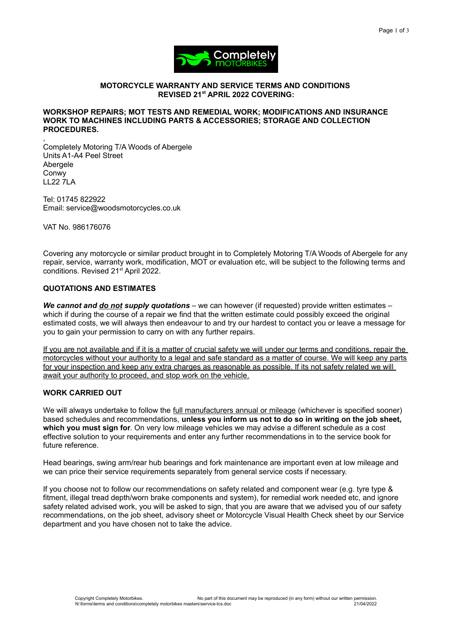

# **MOTORCYCLE WARRANTY AND SERVICE TERMS AND CONDITIONS REVISED 21st APRIL 2022 COVERING:**

#### **WORKSHOP REPAIRS; MOT TESTS AND REMEDIAL WORK; MODIFICATIONS AND INSURANCE WORK TO MACHINES INCLUDING PARTS & ACCESSORIES; STORAGE AND COLLECTION PROCEDURES.**

, Completely Motoring T/A Woods of Abergele Units A1-A4 Peel Street **Abergele** Conwy LL22 7LA

Tel: 01745 822922 Email: service@woodsmotorcycles.co.uk

VAT No. 986176076

Covering any motorcycle or similar product brought in to Completely Motoring T/A Woods of Abergele for any repair, service, warranty work, modification, MOT or evaluation etc, will be subject to the following terms and conditions. Revised 21<sup>st</sup> April 2022.

# **QUOTATIONS AND ESTIMATES**

*We cannot and do not supply quotations* – we can however (if requested) provide written estimates – which if during the course of a repair we find that the written estimate could possibly exceed the original estimated costs, we will always then endeavour to and try our hardest to contact you or leave a message for you to gain your permission to carry on with any further repairs.

If you are not available and if it is a matter of crucial safety we will under our terms and conditions, repair the motorcycles without your authority to a legal and safe standard as a matter of course. We will keep any parts for your inspection and keep any extra charges as reasonable as possible. If its not safety related we will await your authority to proceed, and stop work on the vehicle.

# **WORK CARRIED OUT**

We will always undertake to follow the full manufacturers annual or mileage (whichever is specified sooner) based schedules and recommendations, **unless you inform us not to do so in writing on the job sheet, which you must sign for**. On very low mileage vehicles we may advise a different schedule as a cost effective solution to your requirements and enter any further recommendations in to the service book for future reference.

Head bearings, swing arm/rear hub bearings and fork maintenance are important even at low mileage and we can price their service requirements separately from general service costs if necessary.

If you choose not to follow our recommendations on safety related and component wear (e.g. tyre type & fitment, illegal tread depth/worn brake components and system), for remedial work needed etc, and ignore safety related advised work, you will be asked to sign, that you are aware that we advised you of our safety recommendations, on the job sheet, advisory sheet or Motorcycle Visual Health Check sheet by our Service department and you have chosen not to take the advice.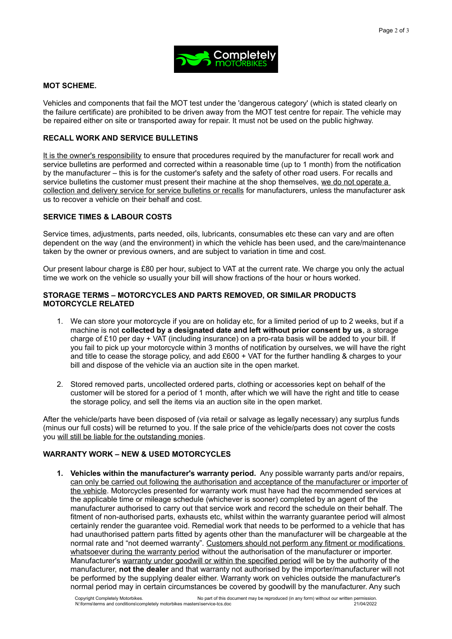

## **MOT SCHEME.**

Vehicles and components that fail the MOT test under the 'dangerous category' (which is stated clearly on the failure certificate) are prohibited to be driven away from the MOT test centre for repair. The vehicle may be repaired either on site or transported away for repair. It must not be used on the public highway.

# **RECALL WORK AND SERVICE BULLETINS**

It is the owner's responsibility to ensure that procedures required by the manufacturer for recall work and service bulletins are performed and corrected within a reasonable time (up to 1 month) from the notification by the manufacturer – this is for the customer's safety and the safety of other road users. For recalls and service bulletins the customer must present their machine at the shop themselves, we do not operate a collection and delivery service for service bulletins or recalls for manufacturers, unless the manufacturer ask us to recover a vehicle on their behalf and cost.

# **SERVICE TIMES & LABOUR COSTS**

Service times, adjustments, parts needed, oils, lubricants, consumables etc these can vary and are often dependent on the way (and the environment) in which the vehicle has been used, and the care/maintenance taken by the owner or previous owners, and are subject to variation in time and cost.

Our present labour charge is £80 per hour, subject to VAT at the current rate. We charge you only the actual time we work on the vehicle so usually your bill will show fractions of the hour or hours worked.

## **STORAGE TERMS – MOTORCYCLES AND PARTS REMOVED, OR SIMILAR PRODUCTS MOTORCYCLE RELATED**

- 1. We can store your motorcycle if you are on holiday etc, for a limited period of up to 2 weeks, but if a machine is not **collected by a designated date and left without prior consent by us**, a storage charge of £10 per day + VAT (including insurance) on a pro-rata basis will be added to your bill. If you fail to pick up your motorcycle within 3 months of notification by ourselves, we will have the right and title to cease the storage policy, and add £600 + VAT for the further handling & charges to your bill and dispose of the vehicle via an auction site in the open market.
- 2. Stored removed parts, uncollected ordered parts, clothing or accessories kept on behalf of the customer will be stored for a period of 1 month, after which we will have the right and title to cease the storage policy, and sell the items via an auction site in the open market.

After the vehicle/parts have been disposed of (via retail or salvage as legally necessary) any surplus funds (minus our full costs) will be returned to you. If the sale price of the vehicle/parts does not cover the costs you will still be liable for the outstanding monies.

# **WARRANTY WORK – NEW & USED MOTORCYCLES**

**1. Vehicles within the manufacturer's warranty period.** Any possible warranty parts and/or repairs, can only be carried out following the authorisation and acceptance of the manufacturer or importer of the vehicle. Motorcycles presented for warranty work must have had the recommended services at the applicable time or mileage schedule (whichever is sooner) completed by an agent of the manufacturer authorised to carry out that service work and record the schedule on their behalf. The fitment of non-authorised parts, exhausts etc, whilst within the warranty guarantee period will almost certainly render the guarantee void. Remedial work that needs to be performed to a vehicle that has had unauthorised pattern parts fitted by agents other than the manufacturer will be chargeable at the normal rate and "not deemed warranty". Customers should not perform any fitment or modifications whatsoever during the warranty period without the authorisation of the manufacturer or importer. Manufacturer's warranty under goodwill or within the specified period will be by the authority of the manufacturer, **not the dealer** and that warranty not authorised by the importer/manufacturer will not be performed by the supplying dealer either. Warranty work on vehicles outside the manufacturer's normal period may in certain circumstances be covered by goodwill by the manufacturer. Any such